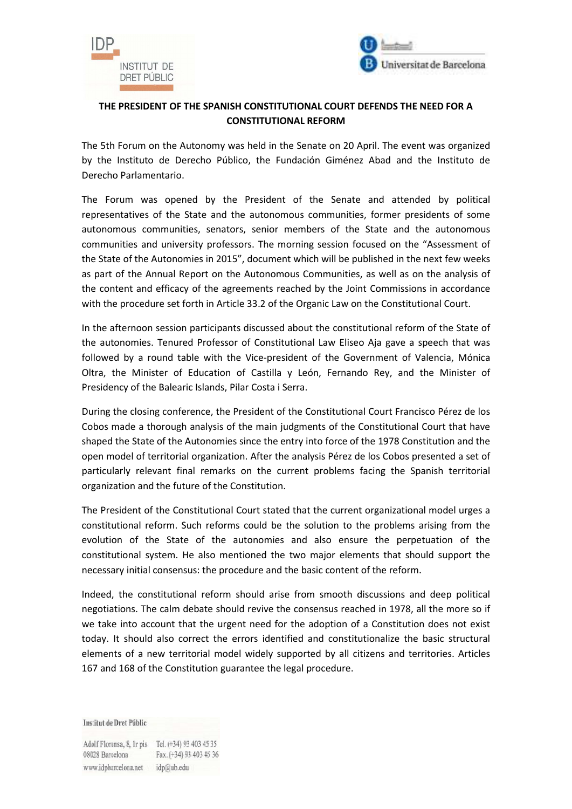



## **THE PRESIDENT OF THE SPANISH CONSTITUTIONAL COURT DEFENDS THE NEED FOR A CONSTITUTIONAL REFORM**

The 5th Forum on the Autonomy was held in the Senate on 20 April. The event was organized by the Instituto de Derecho Público, the Fundación Giménez Abad and the Instituto de Derecho Parlamentario.

The Forum was opened by the President of the Senate and attended by political representatives of the State and the autonomous communities, former presidents of some autonomous communities, senators, senior members of the State and the autonomous communities and university professors. The morning session focused on the "Assessment of the State of the Autonomies in 2015", document which will be published in the next few weeks as part of the Annual Report on the Autonomous Communities, as well as on the analysis of the content and efficacy of the agreements reached by the Joint Commissions in accordance with the procedure set forth in Article 33.2 of the Organic Law on the Constitutional Court.

In the afternoon session participants discussed about the constitutional reform of the State of the autonomies. Tenured Professor of Constitutional Law Eliseo Aja gave a speech that was followed by a round table with the Vice-president of the Government of Valencia, Mónica Oltra, the Minister of Education of Castilla y León, Fernando Rey, and the Minister of Presidency of the Balearic Islands, Pilar Costa i Serra.

During the closing conference, the President of the Constitutional Court Francisco Pérez de los Cobos made a thorough analysis of the main judgments of the Constitutional Court that have shaped the State of the Autonomies since the entry into force of the 1978 Constitution and the open model of territorial organization. After the analysis Pérez de los Cobos presented a set of particularly relevant final remarks on the current problems facing the Spanish territorial organization and the future of the Constitution.

The President of the Constitutional Court stated that the current organizational model urges a constitutional reform. Such reforms could be the solution to the problems arising from the evolution of the State of the autonomies and also ensure the perpetuation of the constitutional system. He also mentioned the two major elements that should support the necessary initial consensus: the procedure and the basic content of the reform.

Indeed, the constitutional reform should arise from smooth discussions and deep political negotiations. The calm debate should revive the consensus reached in 1978, all the more so if we take into account that the urgent need for the adoption of a Constitution does not exist today. It should also correct the errors identified and constitutionalize the basic structural elements of a new territorial model widely supported by all citizens and territories. Articles 167 and 168 of the Constitution guarantee the legal procedure.

Institut de Dret Públic

Adolf Florensa, 8, Ir pis Tel. (+34) 93 403 45 35 08028 Barcelona Fax. (+34) 93 403 45 36 www.idpbarcelona.net idp@ub.edu